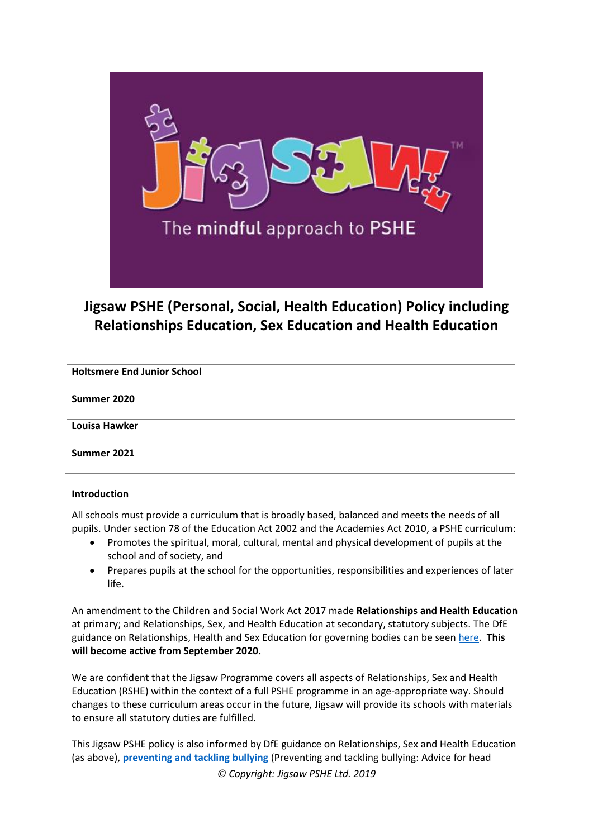

# **Jigsaw PSHE (Personal, Social, Health Education) Policy including Relationships Education, Sex Education and Health Education**

| <b>Holtsmere End Junior School</b> |
|------------------------------------|
| Summer 2020                        |
| Louisa Hawker                      |
| Summer 2021                        |

#### **Introduction**

All schools must provide a curriculum that is broadly based, balanced and meets the needs of all pupils. Under section 78 of the Education Act 2002 and the Academies Act 2010, a PSHE curriculum:

- Promotes the spiritual, moral, cultural, mental and physical development of pupils at the school and of society, and
- Prepares pupils at the school for the opportunities, responsibilities and experiences of later life.

An amendment to the Children and Social Work Act 2017 made **Relationships and Health Education** at primary; and Relationships, Sex, and Health Education at secondary, statutory subjects. The DfE guidance on Relationships, Health and Sex Education for governing bodies can be seen [here.](https://assets.publishing.service.gov.uk/government/uploads/system/uploads/attachment_data/file/805781/Relationships_Education__Relationships_and_Sex_Education__RSE__and_Health_Education.pdf) **This will become active from September 2020.**

We are confident that the Jigsaw Programme covers all aspects of Relationships, Sex and Health Education (RSHE) within the context of a full PSHE programme in an age-appropriate way. Should changes to these curriculum areas occur in the future, Jigsaw will provide its schools with materials to ensure all statutory duties are fulfilled.

This Jigsaw PSHE policy is also informed by DfE guidance on Relationships, Sex and Health Education (as above), **[preventing and tackling bullying](http://www.education.gov.uk/aboutdfe/advice/f0076899/preventing-and-tackling-bullying)** (Preventing and tackling bullying: Advice for head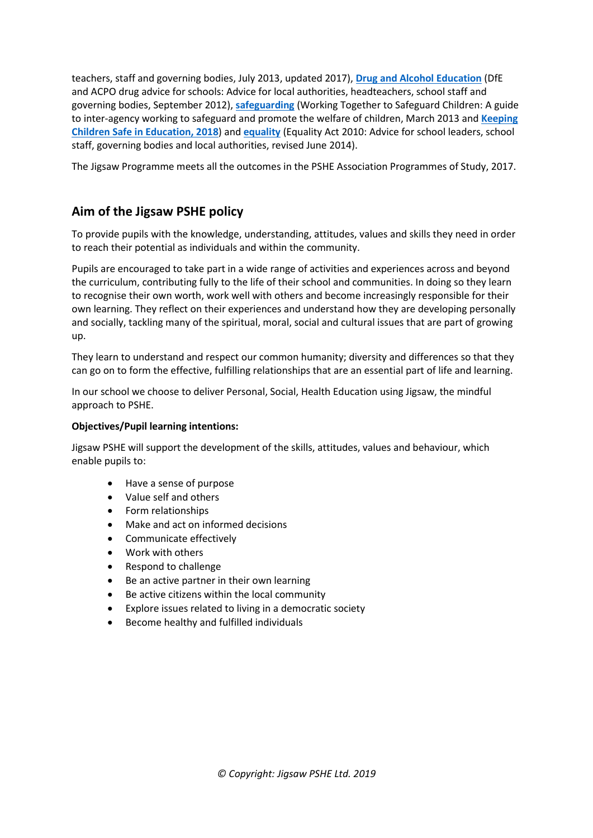teachers, staff and governing bodies, July 2013, updated 2017), **[Drug and Alcohol Education](https://www.gov.uk/government/publications/dfe-and-acpo-drug-advice-for-schools)** (DfE and ACPO drug advice for schools: Advice for local authorities, headteachers, school staff and governing bodies, September 2012), **[safeguarding](http://www.education.gov.uk/schools/guidanceandadvice?f_category=Safeguarding&page=1)** (Working Together to Safeguard Children: A guide to inter-agency working to safeguard and promote the welfare of children, March 2013 and **[Keeping](https://www.gov.uk/government/publications/keeping-children-safe-in-education--2)  [Children Safe in Education, 2018](https://www.gov.uk/government/publications/keeping-children-safe-in-education--2)**) and **[equality](http://www.education.gov.uk/aboutdfe/advice/f00215460/equality-act-2010-departmental-advice)** (Equality Act 2010: Advice for school leaders, school staff, governing bodies and local authorities, revised June 2014).

The Jigsaw Programme meets all the outcomes in the PSHE Association Programmes of Study, 2017.

## **Aim of the Jigsaw PSHE policy**

To provide pupils with the knowledge, understanding, attitudes, values and skills they need in order to reach their potential as individuals and within the community.

Pupils are encouraged to take part in a wide range of activities and experiences across and beyond the curriculum, contributing fully to the life of their school and communities. In doing so they learn to recognise their own worth, work well with others and become increasingly responsible for their own learning. They reflect on their experiences and understand how they are developing personally and socially, tackling many of the spiritual, moral, social and cultural issues that are part of growing up.

They learn to understand and respect our common humanity; diversity and differences so that they can go on to form the effective, fulfilling relationships that are an essential part of life and learning.

In our school we choose to deliver Personal, Social, Health Education using Jigsaw, the mindful approach to PSHE.

#### **Objectives/Pupil learning intentions:**

Jigsaw PSHE will support the development of the skills, attitudes, values and behaviour, which enable pupils to:

- Have a sense of purpose
- Value self and others
- Form relationships
- Make and act on informed decisions
- Communicate effectively
- Work with others
- Respond to challenge
- Be an active partner in their own learning
- Be active citizens within the local community
- Explore issues related to living in a democratic society
- Become healthy and fulfilled individuals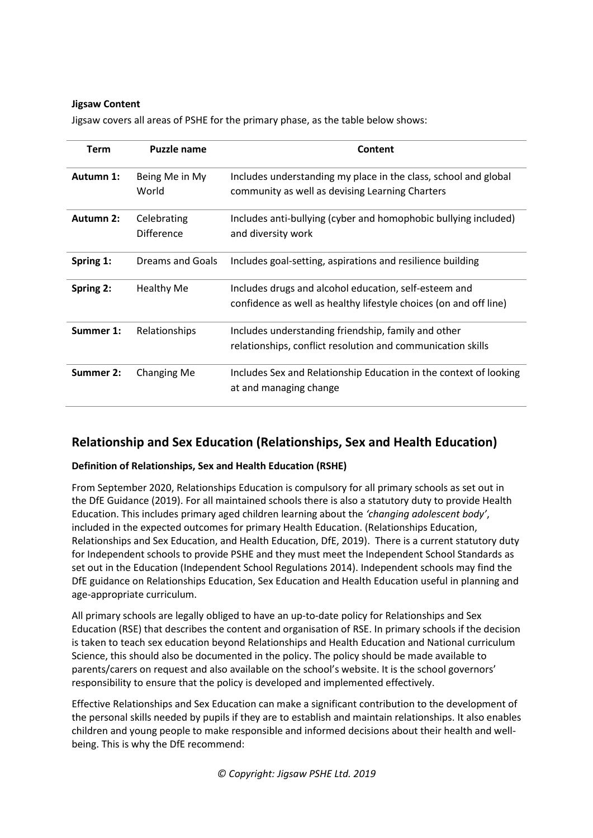#### **Jigsaw Content**

Jigsaw covers all areas of PSHE for the primary phase, as the table below shows:

| <b>Term</b> | <b>Puzzle name</b>        | Content                                                                                                                    |  |
|-------------|---------------------------|----------------------------------------------------------------------------------------------------------------------------|--|
| Autumn 1:   | Being Me in My<br>World   | Includes understanding my place in the class, school and global<br>community as well as devising Learning Charters         |  |
| Autumn 2:   | Celebrating<br>Difference | Includes anti-bullying (cyber and homophobic bullying included)<br>and diversity work                                      |  |
| Spring 1:   | Dreams and Goals          | Includes goal-setting, aspirations and resilience building                                                                 |  |
| Spring 2:   | <b>Healthy Me</b>         | Includes drugs and alcohol education, self-esteem and<br>confidence as well as healthy lifestyle choices (on and off line) |  |
| Summer 1:   | Relationships             | Includes understanding friendship, family and other<br>relationships, conflict resolution and communication skills         |  |
| Summer 2:   | <b>Changing Me</b>        | Includes Sex and Relationship Education in the context of looking<br>at and managing change                                |  |

## **Relationship and Sex Education (Relationships, Sex and Health Education)**

## **Definition of Relationships, Sex and Health Education (RSHE)**

From September 2020, Relationships Education is compulsory for all primary schools as set out in the DfE Guidance (2019). For all maintained schools there is also a statutory duty to provide Health Education. This includes primary aged children learning about the *'changing adolescent body'*, included in the expected outcomes for primary Health Education. (Relationships Education, Relationships and Sex Education, and Health Education, DfE, 2019). There is a current statutory duty for Independent schools to provide PSHE and they must meet the Independent School Standards as set out in the Education (Independent School Regulations 2014). Independent schools may find the DfE guidance on Relationships Education, Sex Education and Health Education useful in planning and age-appropriate curriculum.

All primary schools are legally obliged to have an up-to-date policy for Relationships and Sex Education (RSE) that describes the content and organisation of RSE. In primary schools if the decision is taken to teach sex education beyond Relationships and Health Education and National curriculum Science, this should also be documented in the policy. The policy should be made available to parents/carers on request and also available on the school's website. It is the school governors' responsibility to ensure that the policy is developed and implemented effectively.

Effective Relationships and Sex Education can make a significant contribution to the development of the personal skills needed by pupils if they are to establish and maintain relationships. It also enables children and young people to make responsible and informed decisions about their health and wellbeing. This is why the DfE recommend: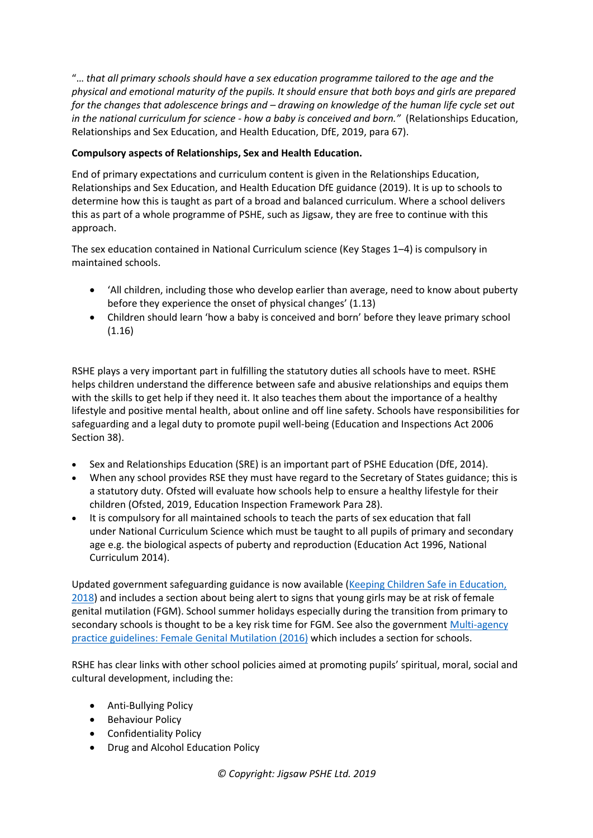"… *that all primary schools should have a sex education programme tailored to the age and the physical and emotional maturity of the pupils. It should ensure that both boys and girls are prepared for the changes that adolescence brings and – drawing on knowledge of the human life cycle set out in the national curriculum for science - how a baby is conceived and born."* (Relationships Education, Relationships and Sex Education, and Health Education, DfE, 2019, para 67).

## **Compulsory aspects of Relationships, Sex and Health Education.**

End of primary expectations and curriculum content is given in the Relationships Education, Relationships and Sex Education, and Health Education DfE guidance (2019). It is up to schools to determine how this is taught as part of a broad and balanced curriculum. Where a school delivers this as part of a whole programme of PSHE, such as Jigsaw, they are free to continue with this approach.

The sex education contained in National Curriculum science (Key Stages 1–4) is compulsory in maintained schools.

- 'All children, including those who develop earlier than average, need to know about puberty before they experience the onset of physical changes' (1.13)
- Children should learn 'how a baby is conceived and born' before they leave primary school (1.16)

RSHE plays a very important part in fulfilling the statutory duties all schools have to meet. RSHE helps children understand the difference between safe and abusive relationships and equips them with the skills to get help if they need it. It also teaches them about the importance of a healthy lifestyle and positive mental health, about online and off line safety. Schools have responsibilities for safeguarding and a legal duty to promote pupil well-being (Education and Inspections Act 2006 Section 38).

- Sex and Relationships Education (SRE) is an important part of PSHE Education (DfE, 2014).
- When any school provides RSE they must have regard to the Secretary of States guidance; this is a statutory duty. Ofsted will evaluate how schools help to ensure a healthy lifestyle for their children (Ofsted, 2019, Education Inspection Framework Para 28).
- It is compulsory for all maintained schools to teach the parts of sex education that fall under National Curriculum Science which must be taught to all pupils of primary and secondary age e.g. the biological aspects of puberty and reproduction (Education Act 1996, National Curriculum 2014).

Updated government safeguarding guidance is now available [\(Keeping Children Safe in Education,](https://www.gov.uk/government/publications/keeping-children-safe-in-education--2)  [2018](https://www.gov.uk/government/publications/keeping-children-safe-in-education--2)) and includes a section about being alert to signs that young girls may be at risk of female genital mutilation (FGM). School summer holidays especially during the transition from primary to secondary schools is thought to be a key risk time for FGM. See also the governmen[t Multi-agency](https://www.gov.uk/government/publications/multi-agency-statutory-guidance-on-female-genital-mutilation)  practice guidelines: [Female Genital Mutilation \(2016\)](https://www.gov.uk/government/publications/multi-agency-statutory-guidance-on-female-genital-mutilation) which includes a section for schools.

RSHE has clear links with other school policies aimed at promoting pupils' spiritual, moral, social and cultural development, including the:

- Anti-Bullying Policy
- Behaviour Policy
- Confidentiality Policy
- Drug and Alcohol Education Policy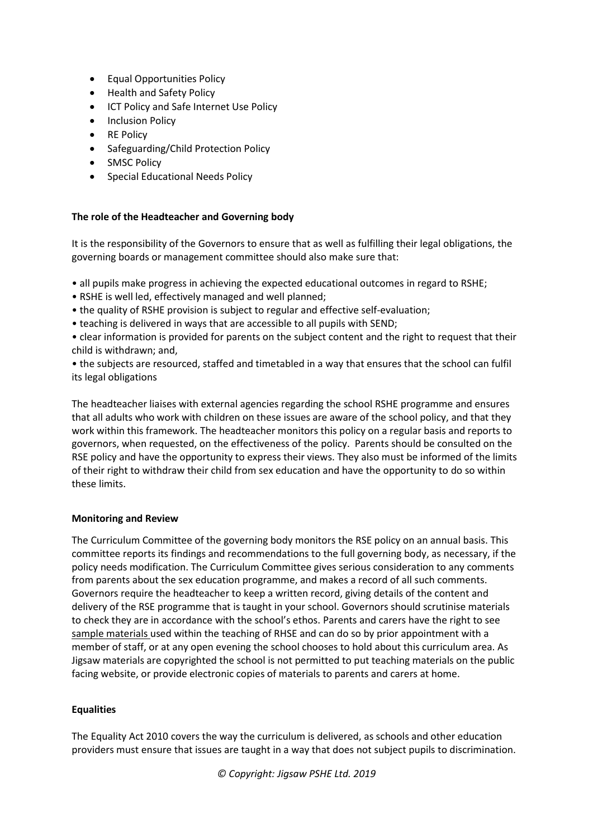- Equal Opportunities Policy
- Health and Safety Policy
- **ICT Policy and Safe Internet Use Policy**
- Inclusion Policy
- RE Policy
- Safeguarding/Child Protection Policy
- SMSC Policy
- Special Educational Needs Policy

## **The role of the Headteacher and Governing body**

It is the responsibility of the Governors to ensure that as well as fulfilling their legal obligations, the governing boards or management committee should also make sure that:

- all pupils make progress in achieving the expected educational outcomes in regard to RSHE;
- RSHE is well led, effectively managed and well planned;
- the quality of RSHE provision is subject to regular and effective self-evaluation;
- teaching is delivered in ways that are accessible to all pupils with SEND;

• clear information is provided for parents on the subject content and the right to request that their child is withdrawn; and,

• the subjects are resourced, staffed and timetabled in a way that ensures that the school can fulfil its legal obligations

The headteacher liaises with external agencies regarding the school RSHE programme and ensures that all adults who work with children on these issues are aware of the school policy, and that they work within this framework. The headteacher monitors this policy on a regular basis and reports to governors, when requested, on the effectiveness of the policy. Parents should be consulted on the RSE policy and have the opportunity to express their views. They also must be informed of the limits of their right to withdraw their child from sex education and have the opportunity to do so within these limits.

#### **Monitoring and Review**

The Curriculum Committee of the governing body monitors the RSE policy on an annual basis. This committee reports its findings and recommendations to the full governing body, as necessary, if the policy needs modification. The Curriculum Committee gives serious consideration to any comments from parents about the sex education programme, and makes a record of all such comments. Governors require the headteacher to keep a written record, giving details of the content and delivery of the RSE programme that is taught in your school. Governors should scrutinise materials to check they are in accordance with the school's ethos. Parents and carers have the right to see sample materials used within the teaching of RHSE and can do so by prior appointment with a member of staff, or at any open evening the school chooses to hold about this curriculum area. As Jigsaw materials are copyrighted the school is not permitted to put teaching materials on the public facing website, or provide electronic copies of materials to parents and carers at home.

## **Equalities**

The Equality Act 2010 covers the way the curriculum is delivered, as schools and other education providers must ensure that issues are taught in a way that does not subject pupils to discrimination.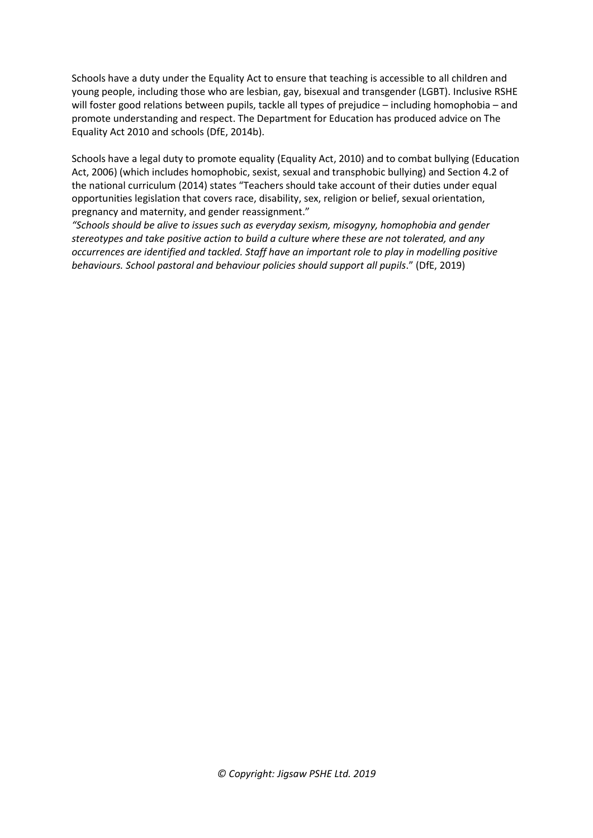Schools have a duty under the Equality Act to ensure that teaching is accessible to all children and young people, including those who are lesbian, gay, bisexual and transgender (LGBT). Inclusive RSHE will foster good relations between pupils, tackle all types of prejudice – including homophobia – and promote understanding and respect. The Department for Education has produced advice on The Equality Act 2010 and schools (DfE, 2014b).

Schools have a legal duty to promote equality (Equality Act, 2010) and to combat bullying (Education Act, 2006) (which includes homophobic, sexist, sexual and transphobic bullying) and Section 4.2 of the national curriculum (2014) states "Teachers should take account of their duties under equal opportunities legislation that covers race, disability, sex, religion or belief, sexual orientation, pregnancy and maternity, and gender reassignment."

*"Schools should be alive to issues such as everyday sexism, misogyny, homophobia and gender stereotypes and take positive action to build a culture where these are not tolerated, and any occurrences are identified and tackled. Staff have an important role to play in modelling positive behaviours. School pastoral and behaviour policies should support all pupils*." (DfE, 2019)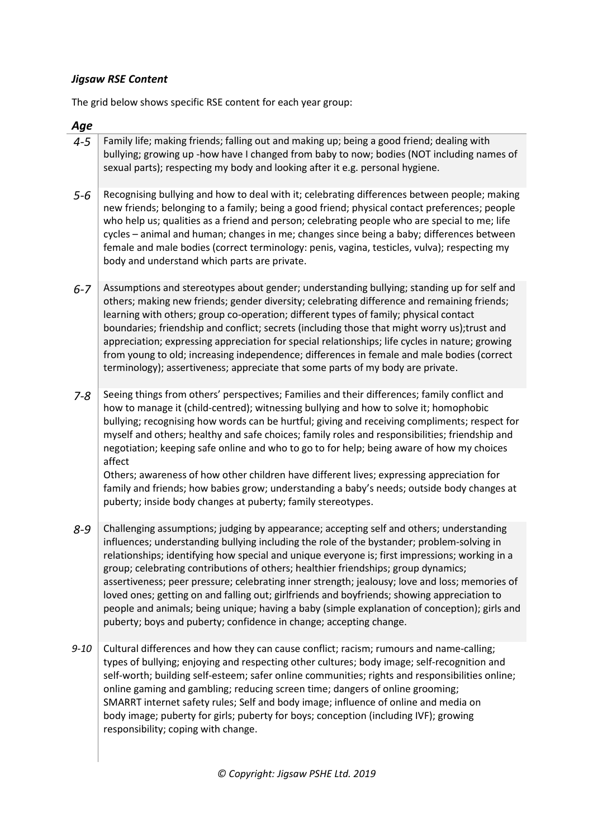## *Jigsaw RSE Content*

The grid below shows specific RSE content for each year group:

## *Age*

- 4-5 Family life; making friends; falling out and making up; being a good friend; dealing with bullying; growing up -how have I changed from baby to now; bodies (NOT including names of sexual parts); respecting my body and looking after it e.g. personal hygiene.
- 5-6 Recognising bullying and how to deal with it; celebrating differences between people; making new friends; belonging to a family; being a good friend; physical contact preferences; people who help us; qualities as a friend and person; celebrating people who are special to me; life cycles – animal and human; changes in me; changes since being a baby; differences between female and male bodies (correct terminology: penis, vagina, testicles, vulva); respecting my body and understand which parts are private.
- 6-7 Assumptions and stereotypes about gender; understanding bullying; standing up for self and others; making new friends; gender diversity; celebrating difference and remaining friends; learning with others; group co-operation; different types of family; physical contact boundaries; friendship and conflict; secrets (including those that might worry us);trust and appreciation; expressing appreciation for special relationships; life cycles in nature; growing from young to old; increasing independence; differences in female and male bodies (correct terminology); assertiveness; appreciate that some parts of my body are private.
- 7-8 Seeing things from others' perspectives; Families and their differences; family conflict and how to manage it (child-centred); witnessing bullying and how to solve it; homophobic bullying; recognising how words can be hurtful; giving and receiving compliments; respect for myself and others; healthy and safe choices; family roles and responsibilities; friendship and negotiation; keeping safe online and who to go to for help; being aware of how my choices affect

Others; awareness of how other children have different lives; expressing appreciation for family and friends; how babies grow; understanding a baby's needs; outside body changes at puberty; inside body changes at puberty; family stereotypes.

- 8-9 Challenging assumptions; judging by appearance; accepting self and others; understanding influences; understanding bullying including the role of the bystander; problem-solving in relationships; identifying how special and unique everyone is; first impressions; working in a group; celebrating contributions of others; healthier friendships; group dynamics; assertiveness; peer pressure; celebrating inner strength; jealousy; love and loss; memories of loved ones; getting on and falling out; girlfriends and boyfriends; showing appreciation to people and animals; being unique; having a baby (simple explanation of conception); girls and puberty; boys and puberty; confidence in change; accepting change.
- 9-10 Cultural differences and how they can cause conflict; racism; rumours and name-calling; types of bullying; enjoying and respecting other cultures; body image; self-recognition and self-worth; building self-esteem; safer online communities; rights and responsibilities online; online gaming and gambling; reducing screen time; dangers of online grooming; SMARRT internet safety rules; Self and body image; influence of online and media on body image; puberty for girls; puberty for boys; conception (including IVF); growing responsibility; coping with change.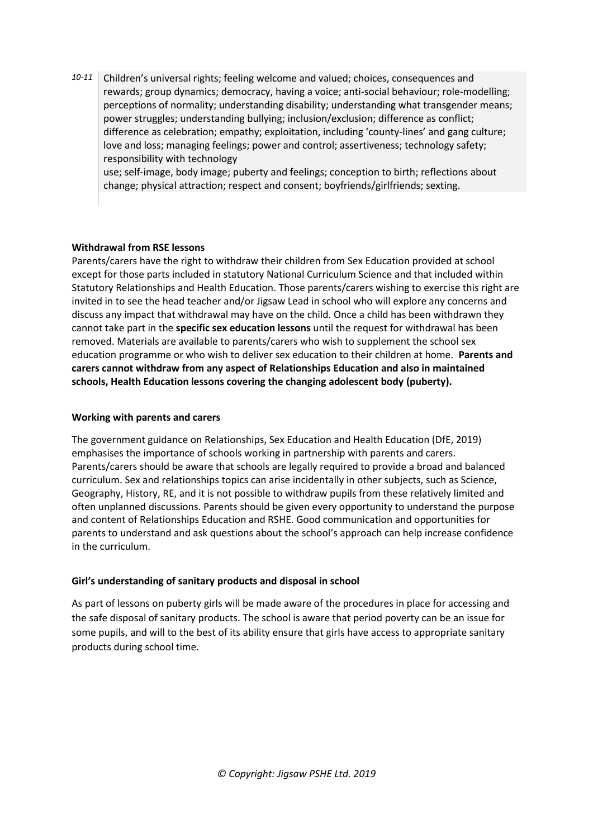10-11 Children's universal rights; feeling welcome and valued; choices, consequences and rewards; group dynamics; democracy, having a voice; anti-social behaviour; role-modelling; perceptions of normality; understanding disability; understanding what transgender means; power struggles; understanding bullying; inclusion/exclusion; difference as conflict; difference as celebration; empathy; exploitation, including 'county-lines' and gang culture; love and loss; managing feelings; power and control; assertiveness; technology safety; responsibility with technology

use; self-image, body image; puberty and feelings; conception to birth; reflections about change; physical attraction; respect and consent; boyfriends/girlfriends; sexting.

## **Withdrawal from RSE lessons**

Parents/carers have the right to withdraw their children from Sex Education provided at school except for those parts included in statutory National Curriculum Science and that included within Statutory Relationships and Health Education. Those parents/carers wishing to exercise this right are invited in to see the head teacher and/or Jigsaw Lead in school who will explore any concerns and discuss any impact that withdrawal may have on the child. Once a child has been withdrawn they cannot take part in the **specific sex education lessons** until the request for withdrawal has been removed. Materials are available to parents/carers who wish to supplement the school sex education programme or who wish to deliver sex education to their children at home. **Parents and carers cannot withdraw from any aspect of Relationships Education and also in maintained schools, Health Education lessons covering the changing adolescent body (puberty).**

#### **Working with parents and carers**

The government guidance on Relationships, Sex Education and Health Education (DfE, 2019) emphasises the importance of schools working in partnership with parents and carers. Parents/carers should be aware that schools are legally required to provide a broad and balanced curriculum. Sex and relationships topics can arise incidentally in other subjects, such as Science, Geography, History, RE, and it is not possible to withdraw pupils from these relatively limited and often unplanned discussions. Parents should be given every opportunity to understand the purpose and content of Relationships Education and RSHE. Good communication and opportunities for parents to understand and ask questions about the school's approach can help increase confidence in the curriculum.

## **Girl's understanding of sanitary products and disposal in school**

As part of lessons on puberty girls will be made aware of the procedures in place for accessing and the safe disposal of sanitary products. The school is aware that period poverty can be an issue for some pupils, and will to the best of its ability ensure that girls have access to appropriate sanitary products during school time.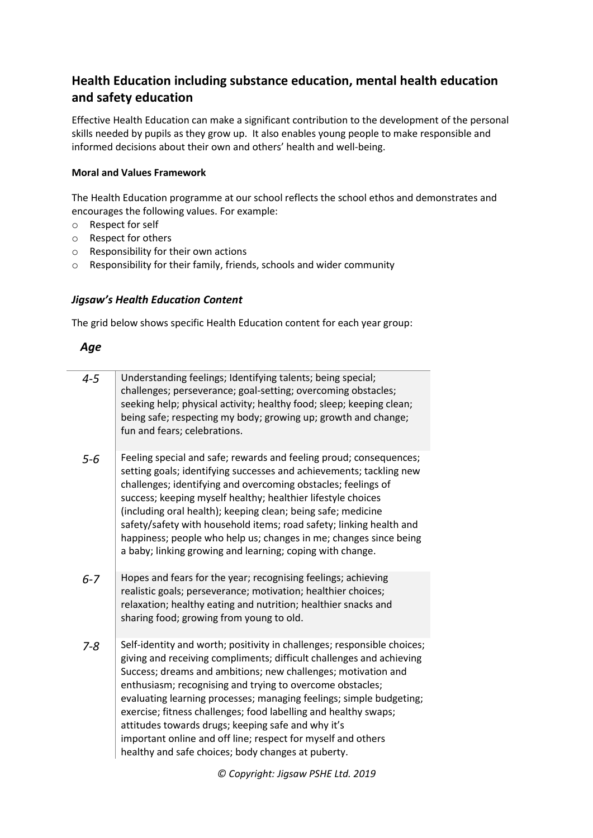## **Health Education including substance education, mental health education and safety education**

Effective Health Education can make a significant contribution to the development of the personal skills needed by pupils as they grow up. It also enables young people to make responsible and informed decisions about their own and others' health and well-being.

## **Moral and Values Framework**

The Health Education programme at our school reflects the school ethos and demonstrates and encourages the following values. For example:

- o Respect for self
- o Respect for others
- o Responsibility for their own actions
- o Responsibility for their family, friends, schools and wider community

## *Jigsaw's Health Education Content*

The grid below shows specific Health Education content for each year group:

## *Age*

| $4 - 5$ | Understanding feelings; Identifying talents; being special;<br>challenges; perseverance; goal-setting; overcoming obstacles;<br>seeking help; physical activity; healthy food; sleep; keeping clean;<br>being safe; respecting my body; growing up; growth and change;<br>fun and fears; celebrations.                                                                                                                                                                                                                                                                                              |
|---------|-----------------------------------------------------------------------------------------------------------------------------------------------------------------------------------------------------------------------------------------------------------------------------------------------------------------------------------------------------------------------------------------------------------------------------------------------------------------------------------------------------------------------------------------------------------------------------------------------------|
| 5-6     | Feeling special and safe; rewards and feeling proud; consequences;<br>setting goals; identifying successes and achievements; tackling new<br>challenges; identifying and overcoming obstacles; feelings of<br>success; keeping myself healthy; healthier lifestyle choices<br>(including oral health); keeping clean; being safe; medicine<br>safety/safety with household items; road safety; linking health and<br>happiness; people who help us; changes in me; changes since being<br>a baby; linking growing and learning; coping with change.                                                 |
| $6 - 7$ | Hopes and fears for the year; recognising feelings; achieving<br>realistic goals; perseverance; motivation; healthier choices;<br>relaxation; healthy eating and nutrition; healthier snacks and<br>sharing food; growing from young to old.                                                                                                                                                                                                                                                                                                                                                        |
| 7-8     | Self-identity and worth; positivity in challenges; responsible choices;<br>giving and receiving compliments; difficult challenges and achieving<br>Success; dreams and ambitions; new challenges; motivation and<br>enthusiasm; recognising and trying to overcome obstacles;<br>evaluating learning processes; managing feelings; simple budgeting;<br>exercise; fitness challenges; food labelling and healthy swaps;<br>attitudes towards drugs; keeping safe and why it's<br>important online and off line; respect for myself and others<br>healthy and safe choices; body changes at puberty. |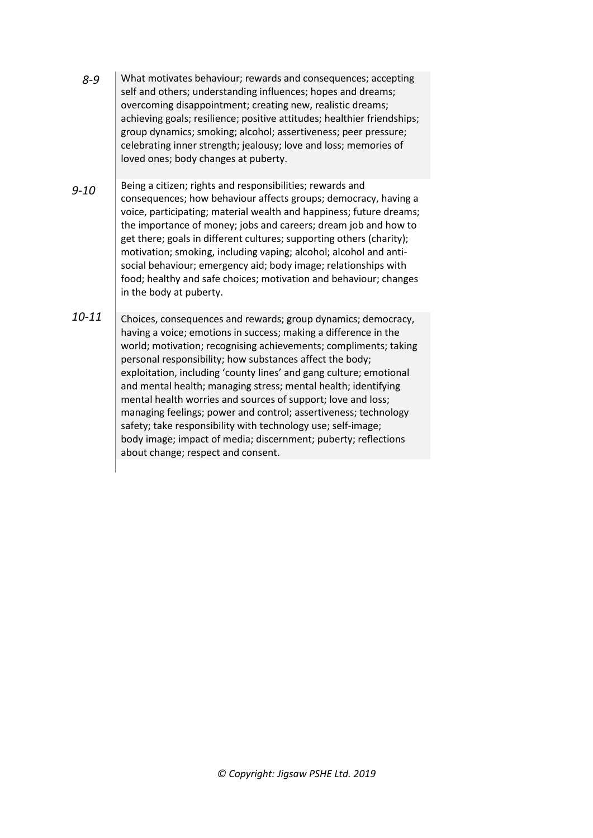- *8-9* What motivates behaviour; rewards and consequences; accepting self and others; understanding influences; hopes and dreams; overcoming disappointment; creating new, realistic dreams; achieving goals; resilience; positive attitudes; healthier friendships; group dynamics; smoking; alcohol; assertiveness; peer pressure; celebrating inner strength; jealousy; love and loss; memories of loved ones; body changes at puberty.
- *9-10* Being a citizen; rights and responsibilities; rewards and consequences; how behaviour affects groups; democracy, having a voice, participating; material wealth and happiness; future dreams; the importance of money; jobs and careers; dream job and how to get there; goals in different cultures; supporting others (charity); motivation; smoking, including vaping; alcohol; alcohol and antisocial behaviour; emergency aid; body image; relationships with food; healthy and safe choices; motivation and behaviour; changes in the body at puberty.
- *10-11* Choices, consequences and rewards; group dynamics; democracy, having a voice; emotions in success; making a difference in the world; motivation; recognising achievements; compliments; taking personal responsibility; how substances affect the body; exploitation, including 'county lines' and gang culture; emotional and mental health; managing stress; mental health; identifying mental health worries and sources of support; love and loss; managing feelings; power and control; assertiveness; technology safety; take responsibility with technology use; self-image; body image; impact of media; discernment; puberty; reflections about change; respect and consent.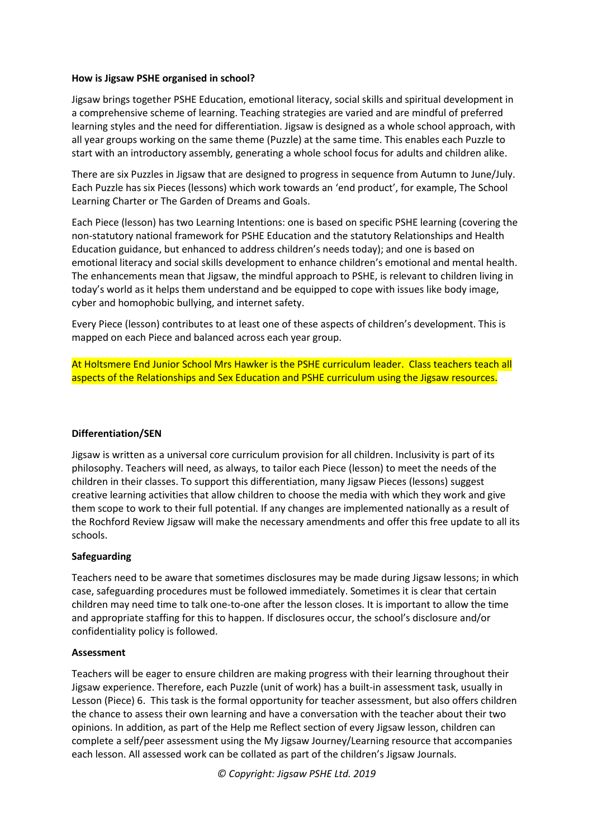#### **How is Jigsaw PSHE organised in school?**

Jigsaw brings together PSHE Education, emotional literacy, social skills and spiritual development in a comprehensive scheme of learning. Teaching strategies are varied and are mindful of preferred learning styles and the need for differentiation. Jigsaw is designed as a whole school approach, with all year groups working on the same theme (Puzzle) at the same time. This enables each Puzzle to start with an introductory assembly, generating a whole school focus for adults and children alike.

There are six Puzzles in Jigsaw that are designed to progress in sequence from Autumn to June/July. Each Puzzle has six Pieces (lessons) which work towards an 'end product', for example, The School Learning Charter or The Garden of Dreams and Goals.

Each Piece (lesson) has two Learning Intentions: one is based on specific PSHE learning (covering the non-statutory national framework for PSHE Education and the statutory Relationships and Health Education guidance, but enhanced to address children's needs today); and one is based on emotional literacy and social skills development to enhance children's emotional and mental health. The enhancements mean that Jigsaw, the mindful approach to PSHE, is relevant to children living in today's world as it helps them understand and be equipped to cope with issues like body image, cyber and homophobic bullying, and internet safety.

Every Piece (lesson) contributes to at least one of these aspects of children's development. This is mapped on each Piece and balanced across each year group.

At Holtsmere End Junior School Mrs Hawker is the PSHE curriculum leader. Class teachers teach all aspects of the Relationships and Sex Education and PSHE curriculum using the Jigsaw resources.

#### **Differentiation/SEN**

Jigsaw is written as a universal core curriculum provision for all children. Inclusivity is part of its philosophy. Teachers will need, as always, to tailor each Piece (lesson) to meet the needs of the children in their classes. To support this differentiation, many Jigsaw Pieces (lessons) suggest creative learning activities that allow children to choose the media with which they work and give them scope to work to their full potential. If any changes are implemented nationally as a result of the Rochford Review Jigsaw will make the necessary amendments and offer this free update to all its schools.

#### **Safeguarding**

Teachers need to be aware that sometimes disclosures may be made during Jigsaw lessons; in which case, safeguarding procedures must be followed immediately. Sometimes it is clear that certain children may need time to talk one-to-one after the lesson closes. It is important to allow the time and appropriate staffing for this to happen. If disclosures occur, the school's disclosure and/or confidentiality policy is followed.

#### **Assessment**

Teachers will be eager to ensure children are making progress with their learning throughout their Jigsaw experience. Therefore, each Puzzle (unit of work) has a built-in assessment task, usually in Lesson (Piece) 6. This task is the formal opportunity for teacher assessment, but also offers children the chance to assess their own learning and have a conversation with the teacher about their two opinions. In addition, as part of the Help me Reflect section of every Jigsaw lesson, children can complete a self/peer assessment using the My Jigsaw Journey/Learning resource that accompanies each lesson. All assessed work can be collated as part of the children's Jigsaw Journals.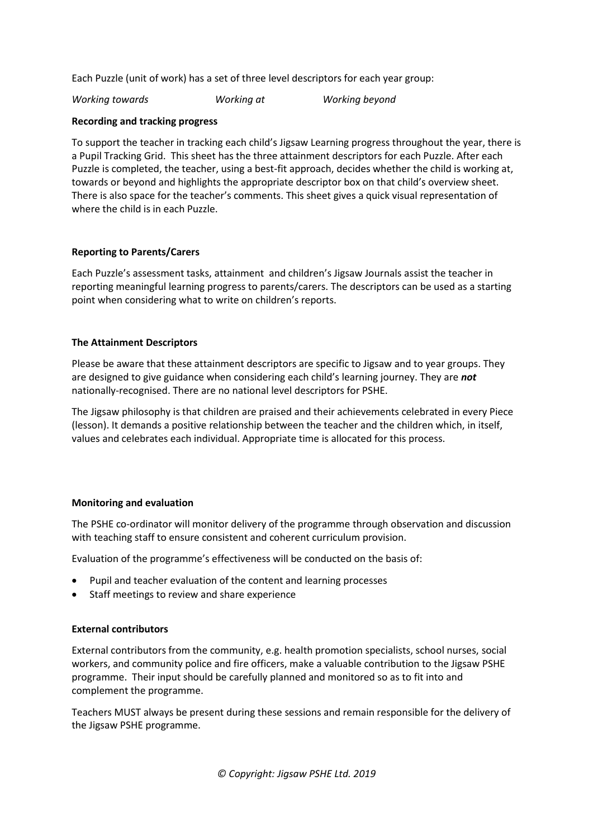Each Puzzle (unit of work) has a set of three level descriptors for each year group:

*Working towards Working at Working beyond*

#### **Recording and tracking progress**

To support the teacher in tracking each child's Jigsaw Learning progress throughout the year, there is a Pupil Tracking Grid. This sheet has the three attainment descriptors for each Puzzle. After each Puzzle is completed, the teacher, using a best-fit approach, decides whether the child is working at, towards or beyond and highlights the appropriate descriptor box on that child's overview sheet. There is also space for the teacher's comments. This sheet gives a quick visual representation of where the child is in each Puzzle.

## **Reporting to Parents/Carers**

Each Puzzle's assessment tasks, attainment and children's Jigsaw Journals assist the teacher in reporting meaningful learning progress to parents/carers. The descriptors can be used as a starting point when considering what to write on children's reports.

## **The Attainment Descriptors**

Please be aware that these attainment descriptors are specific to Jigsaw and to year groups. They are designed to give guidance when considering each child's learning journey. They are *not* nationally-recognised. There are no national level descriptors for PSHE.

The Jigsaw philosophy is that children are praised and their achievements celebrated in every Piece (lesson). It demands a positive relationship between the teacher and the children which, in itself, values and celebrates each individual. Appropriate time is allocated for this process.

## **Monitoring and evaluation**

The PSHE co-ordinator will monitor delivery of the programme through observation and discussion with teaching staff to ensure consistent and coherent curriculum provision.

Evaluation of the programme's effectiveness will be conducted on the basis of:

- Pupil and teacher evaluation of the content and learning processes
- Staff meetings to review and share experience

#### **External contributors**

External contributors from the community, e.g. health promotion specialists, school nurses, social workers, and community police and fire officers, make a valuable contribution to the Jigsaw PSHE programme. Their input should be carefully planned and monitored so as to fit into and complement the programme.

Teachers MUST always be present during these sessions and remain responsible for the delivery of the Jigsaw PSHE programme.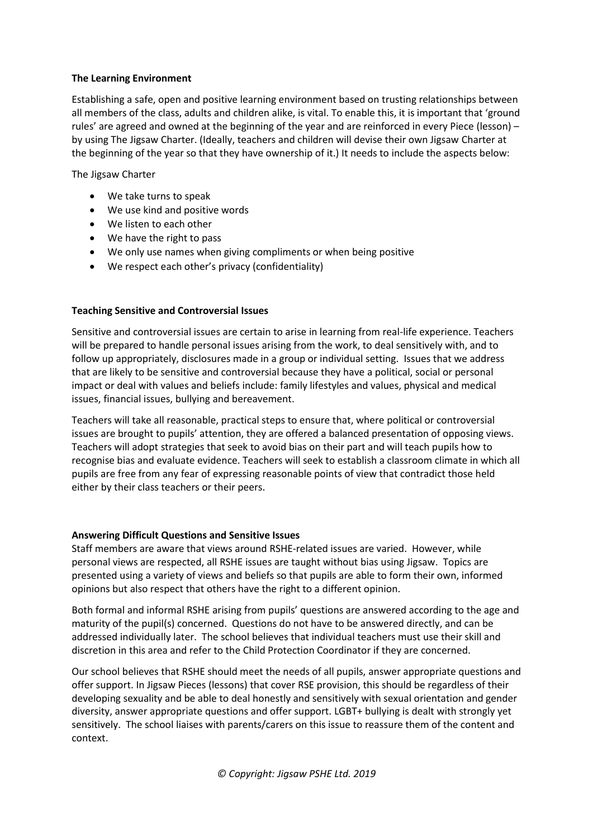#### **The Learning Environment**

Establishing a safe, open and positive learning environment based on trusting relationships between all members of the class, adults and children alike, is vital. To enable this, it is important that 'ground rules' are agreed and owned at the beginning of the year and are reinforced in every Piece (lesson) – by using The Jigsaw Charter. (Ideally, teachers and children will devise their own Jigsaw Charter at the beginning of the year so that they have ownership of it.) It needs to include the aspects below:

The Jigsaw Charter

- We take turns to speak
- We use kind and positive words
- We listen to each other
- We have the right to pass
- We only use names when giving compliments or when being positive
- We respect each other's privacy (confidentiality)

## **Teaching Sensitive and Controversial Issues**

Sensitive and controversial issues are certain to arise in learning from real-life experience. Teachers will be prepared to handle personal issues arising from the work, to deal sensitively with, and to follow up appropriately, disclosures made in a group or individual setting. Issues that we address that are likely to be sensitive and controversial because they have a political, social or personal impact or deal with values and beliefs include: family lifestyles and values, physical and medical issues, financial issues, bullying and bereavement.

Teachers will take all reasonable, practical steps to ensure that, where political or controversial issues are brought to pupils' attention, they are offered a balanced presentation of opposing views. Teachers will adopt strategies that seek to avoid bias on their part and will teach pupils how to recognise bias and evaluate evidence. Teachers will seek to establish a classroom climate in which all pupils are free from any fear of expressing reasonable points of view that contradict those held either by their class teachers or their peers.

#### **Answering Difficult Questions and Sensitive Issues**

Staff members are aware that views around RSHE-related issues are varied. However, while personal views are respected, all RSHE issues are taught without bias using Jigsaw. Topics are presented using a variety of views and beliefs so that pupils are able to form their own, informed opinions but also respect that others have the right to a different opinion.

Both formal and informal RSHE arising from pupils' questions are answered according to the age and maturity of the pupil(s) concerned. Questions do not have to be answered directly, and can be addressed individually later. The school believes that individual teachers must use their skill and discretion in this area and refer to the Child Protection Coordinator if they are concerned.

Our school believes that RSHE should meet the needs of all pupils, answer appropriate questions and offer support. In Jigsaw Pieces (lessons) that cover RSE provision, this should be regardless of their developing sexuality and be able to deal honestly and sensitively with sexual orientation and gender diversity, answer appropriate questions and offer support. LGBT+ bullying is dealt with strongly yet sensitively. The school liaises with parents/carers on this issue to reassure them of the content and context.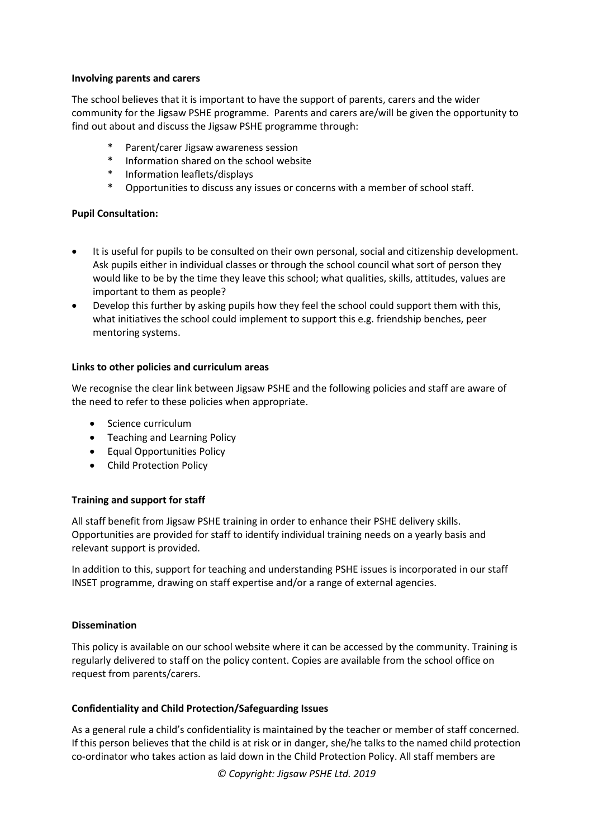#### **Involving parents and carers**

The school believes that it is important to have the support of parents, carers and the wider community for the Jigsaw PSHE programme. Parents and carers are/will be given the opportunity to find out about and discuss the Jigsaw PSHE programme through:

- Parent/carer Jigsaw awareness session
- Information shared on the school website
- Information leaflets/displays
- \* Opportunities to discuss any issues or concerns with a member of school staff.

## **Pupil Consultation:**

- It is useful for pupils to be consulted on their own personal, social and citizenship development. Ask pupils either in individual classes or through the school council what sort of person they would like to be by the time they leave this school; what qualities, skills, attitudes, values are important to them as people?
- Develop this further by asking pupils how they feel the school could support them with this, what initiatives the school could implement to support this e.g. friendship benches, peer mentoring systems.

## **Links to other policies and curriculum areas**

We recognise the clear link between Jigsaw PSHE and the following policies and staff are aware of the need to refer to these policies when appropriate.

- Science curriculum
- Teaching and Learning Policy
- **•** Equal Opportunities Policy
- Child Protection Policy

## **Training and support for staff**

All staff benefit from Jigsaw PSHE training in order to enhance their PSHE delivery skills. Opportunities are provided for staff to identify individual training needs on a yearly basis and relevant support is provided.

In addition to this, support for teaching and understanding PSHE issues is incorporated in our staff INSET programme, drawing on staff expertise and/or a range of external agencies.

#### **Dissemination**

This policy is available on our school website where it can be accessed by the community. Training is regularly delivered to staff on the policy content. Copies are available from the school office on request from parents/carers.

## **Confidentiality and Child Protection/Safeguarding Issues**

As a general rule a child's confidentiality is maintained by the teacher or member of staff concerned. If this person believes that the child is at risk or in danger, she/he talks to the named child protection co-ordinator who takes action as laid down in the Child Protection Policy. All staff members are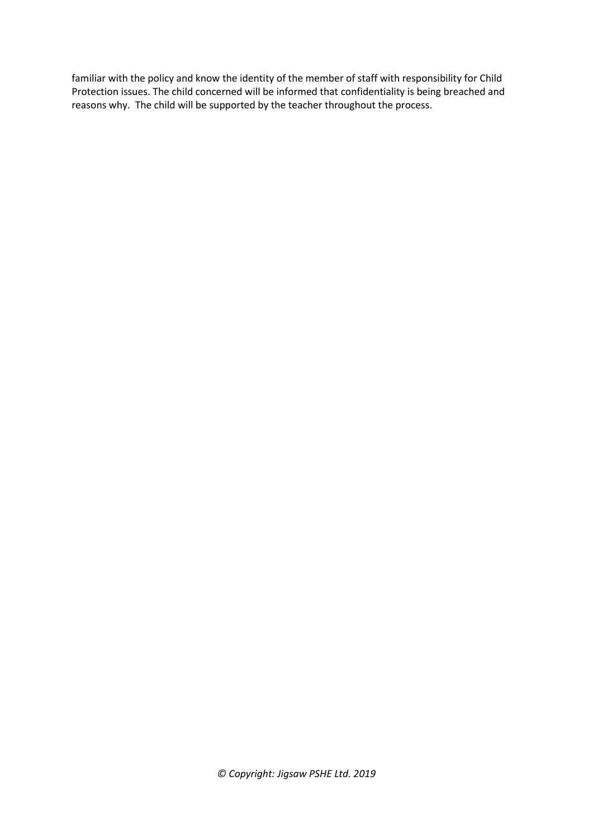familiar with the policy and know the identity of the member of staff with responsibility for Child Protection issues. The child concerned will be informed that confidentiality is being breached and reasons why. The child will be supported by the teacher throughout the process.